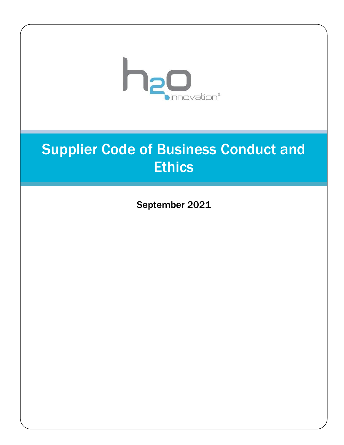

# Supplier Code of Business Conduct and **Ethics**

September 2021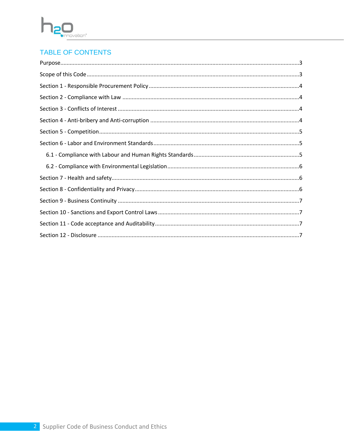# ŀ ovation®

# **TABLE OF CONTENTS**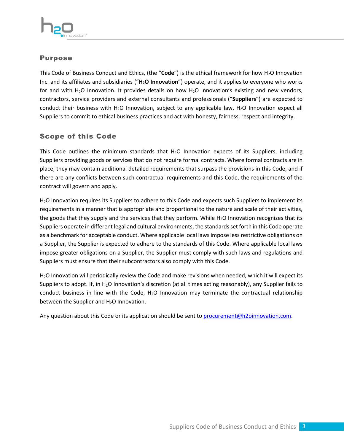

#### <span id="page-2-0"></span>Purpose

This Code of Business Conduct and Ethics, (the "Code") is the ethical framework for how H<sub>2</sub>O Innovation Inc. and its affiliates and subsidiaries ("**H2O Innovation**") operate, and it applies to everyone who works for and with H<sub>2</sub>O Innovation. It provides details on how H<sub>2</sub>O Innovation's existing and new vendors, contractors, service providers and external consultants and professionals ("**Suppliers**") are expected to conduct their business with H<sub>2</sub>O Innovation, subject to any applicable law. H<sub>2</sub>O Innovation expect all Suppliers to commit to ethical business practices and act with honesty, fairness, respect and integrity.

# <span id="page-2-1"></span>Scope of this Code

This Code outlines the minimum standards that  $H_2O$  Innovation expects of its Suppliers, including Suppliers providing goods or services that do not require formal contracts. Where formal contracts are in place, they may contain additional detailed requirements that surpass the provisions in this Code, and if there are any conflicts between such contractual requirements and this Code, the requirements of the contract will govern and apply.

H2O Innovation requires its Suppliers to adhere to this Code and expects such Suppliers to implement its requirements in a manner that is appropriate and proportional to the nature and scale of their activities, the goods that they supply and the services that they perform. While H<sub>2</sub>O Innovation recognizes that its Suppliers operate in different legal and cultural environments, the standards set forth in this Code operate as a benchmark for acceptable conduct. Where applicable local laws impose less restrictive obligations on a Supplier, the Supplier is expected to adhere to the standards of this Code. Where applicable local laws impose greater obligations on a Supplier, the Supplier must comply with such laws and regulations and Suppliers must ensure that their subcontractors also comply with this Code.

H2O Innovation will periodically review the Code and make revisions when needed, which it will expect its Suppliers to adopt. If, in H2O Innovation's discretion (at all times acting reasonably), any Supplier fails to conduct business in line with the Code, H<sub>2</sub>O Innovation may terminate the contractual relationship between the Supplier and  $H_2O$  Innovation.

Any question about this Code or its application should be sent to [procurement@h2oinnovation.com.](mailto:procurement@h2oinnovation.com)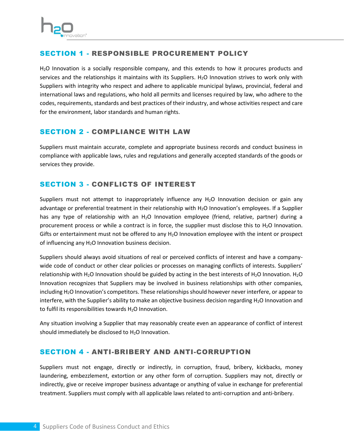

#### <span id="page-3-0"></span>SECTION 1 - RESPONSIBLE PROCUREMENT POLICY

H2O Innovation is a socially responsible company, and this extends to how it procures products and services and the relationships it maintains with its Suppliers.  $H_2O$  Innovation strives to work only with Suppliers with integrity who respect and adhere to applicable municipal bylaws, provincial, federal and international laws and regulations, who hold all permits and licenses required by law, who adhere to the codes, requirements, standards and best practices of their industry, and whose activities respect and care for the environment, labor standards and human rights.

# <span id="page-3-1"></span>SECTION 2 - COMPLIANCE WITH LAW

Suppliers must maintain accurate, complete and appropriate business records and conduct business in compliance with applicable laws, rules and regulations and generally accepted standards of the goods or services they provide.

# <span id="page-3-2"></span>SECTION 3 - CONFLICTS OF INTEREST

Suppliers must not attempt to inappropriately influence any H<sub>2</sub>O Innovation decision or gain any advantage or preferential treatment in their relationship with H<sub>2</sub>O Innovation's employees. If a Supplier has any type of relationship with an  $H_2O$  Innovation employee (friend, relative, partner) during a procurement process or while a contract is in force, the supplier must disclose this to  $H_2O$  Innovation. Gifts or entertainment must not be offered to any  $H_2O$  Innovation employee with the intent or prospect of influencing any  $H_2O$  Innovation business decision.

Suppliers should always avoid situations of real or perceived conflicts of interest and have a companywide code of conduct or other clear policies or processes on managing conflicts of interests. Suppliers' relationship with H<sub>2</sub>O Innovation should be guided by acting in the best interests of H<sub>2</sub>O Innovation. H<sub>2</sub>O Innovation recognizes that Suppliers may be involved in business relationships with other companies, including H2O Innovation's competitors. These relationships should however never interfere, or appear to interfere, with the Supplier's ability to make an objective business decision regarding  $H_2O$  Innovation and to fulfil its responsibilities towards H<sub>2</sub>O Innovation.

Any situation involving a Supplier that may reasonably create even an appearance of conflict of interest should immediately be disclosed to  $H_2O$  Innovation.

#### <span id="page-3-3"></span>SECTION 4 - ANTI-BRIBERY AND ANTI-CORRUPTION

Suppliers must not engage, directly or indirectly, in corruption, fraud, bribery, kickbacks, money laundering, embezzlement, extortion or any other form of corruption. Suppliers may not, directly or indirectly, give or receive improper business advantage or anything of value in exchange for preferential treatment. Suppliers must comply with all applicable laws related to anti-corruption and anti-bribery.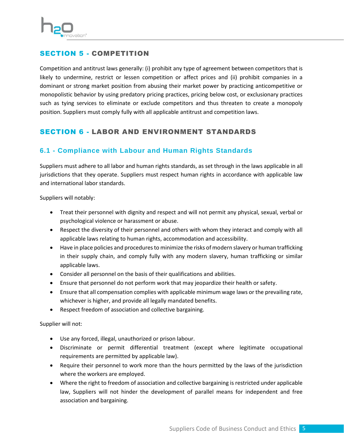

# <span id="page-4-0"></span>SECTION 5 - COMPETITION

Competition and antitrust laws generally: (i) prohibit any type of agreement between competitors that is likely to undermine, restrict or lessen competition or affect prices and (ii) prohibit companies in a dominant or strong market position from abusing their market power by practicing anticompetitive or monopolistic behavior by using predatory pricing practices, pricing below cost, or exclusionary practices such as tying services to eliminate or exclude competitors and thus threaten to create a monopoly position. Suppliers must comply fully with all applicable antitrust and competition laws.

# <span id="page-4-1"></span>SECTION 6 - LABOR AND ENVIRONMENT STANDARDS

# <span id="page-4-2"></span>**6.1 - Compliance with Labour and Human Rights Standards**

Suppliers must adhere to all labor and human rights standards, as set through in the laws applicable in all jurisdictions that they operate. Suppliers must respect human rights in accordance with applicable law and international labor standards.

Suppliers will notably:

- Treat their personnel with dignity and respect and will not permit any physical, sexual, verbal or psychological violence or harassment or abuse.
- Respect the diversity of their personnel and others with whom they interact and comply with all applicable laws relating to human rights, accommodation and accessibility.
- Have in place policies and procedures to minimize the risks of modern slavery or human trafficking in their supply chain, and comply fully with any modern slavery, human trafficking or similar applicable laws.
- Consider all personnel on the basis of their qualifications and abilities.
- Ensure that personnel do not perform work that may jeopardize their health or safety.
- Ensure that all compensation complies with applicable minimum wage laws or the prevailing rate, whichever is higher, and provide all legally mandated benefits.
- Respect freedom of association and collective bargaining.

Supplier will not:

- Use any forced, illegal, unauthorized or prison labour.
- Discriminate or permit differential treatment (except where legitimate occupational requirements are permitted by applicable law).
- Require their personnel to work more than the hours permitted by the laws of the jurisdiction where the workers are employed.
- Where the right to freedom of association and collective bargaining is restricted under applicable law, Suppliers will not hinder the development of parallel means for independent and free association and bargaining.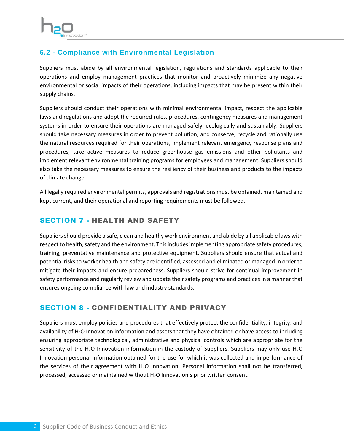

# <span id="page-5-0"></span>**6.2 - Compliance with Environmental Legislation**

Suppliers must abide by all environmental legislation, regulations and standards applicable to their operations and employ management practices that monitor and proactively minimize any negative environmental or social impacts of their operations, including impacts that may be present within their supply chains.

Suppliers should conduct their operations with minimal environmental impact, respect the applicable laws and regulations and adopt the required rules, procedures, contingency measures and management systems in order to ensure their operations are managed safely, ecologically and sustainably. Suppliers should take necessary measures in order to prevent pollution, and conserve, recycle and rationally use the natural resources required for their operations, implement relevant emergency response plans and procedures, take active measures to reduce greenhouse gas emissions and other pollutants and implement relevant environmental training programs for employees and management. Suppliers should also take the necessary measures to ensure the resiliency of their business and products to the impacts of climate change.

All legally required environmental permits, approvals and registrations must be obtained, maintained and kept current, and their operational and reporting requirements must be followed.

#### <span id="page-5-1"></span>SECTION 7 - HEALTH AND SAFETY

Suppliers should provide a safe, clean and healthy work environment and abide by all applicable laws with respect to health, safety and the environment. This includes implementing appropriate safety procedures, training, preventative maintenance and protective equipment. Suppliers should ensure that actual and potential risks to worker health and safety are identified, assessed and eliminated or managed in order to mitigate their impacts and ensure preparedness. Suppliers should strive for continual improvement in safety performance and regularly review and update their safety programs and practices in a manner that ensures ongoing compliance with law and industry standards.

# <span id="page-5-2"></span>SECTION 8 - CONFIDENTIALITY AND PRIVACY

Suppliers must employ policies and procedures that effectively protect the confidentiality, integrity, and availability of  $H_2O$  Innovation information and assets that they have obtained or have access to including ensuring appropriate technological, administrative and physical controls which are appropriate for the sensitivity of the H<sub>2</sub>O Innovation information in the custody of Suppliers. Suppliers may only use H<sub>2</sub>O Innovation personal information obtained for the use for which it was collected and in performance of the services of their agreement with  $H_2O$  Innovation. Personal information shall not be transferred, processed, accessed or maintained without H2O Innovation's prior written consent.